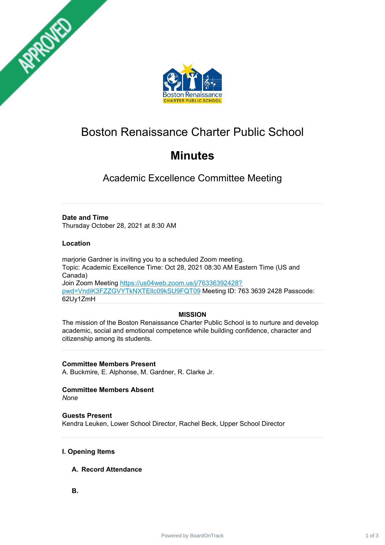



# Boston Renaissance Charter Public School

## **Minutes**

Academic Excellence Committee Meeting

## **Date and Time**

Thursday October 28, 2021 at 8:30 AM

## **Location**

mariorie Gardner is inviting you to a scheduled Zoom meeting. Topic: Academic Excellence Time: Oct 28, 2021 08:30 AM Eastern Time (US and Canada) Join Zoom Meeting [https://us04web.zoom.us/j/76336392428?](https://us04web.zoom.us/j/76336392428?pwd=VndiK3FZZGVYTkNXTEllc09kSU9FQT09) pwd=VndiK3FZZGVYTkNXTEllc09kSU9FQT09 Meeting ID: 763 3639 2428 Passcode: 62Uy1ZmH

### **MISSION**

The mission of the Boston Renaissance Charter Public School is to nurture and develop academic, social and emotional competence while building confidence, character and citizenship among its students.

### **Committee Members Present**

A. Buckmire, E. Alphonse, M. Gardner, R. Clarke Jr.

## **Committee Members Absent**

*None*

### **Guests Present**

Kendra Leuken, Lower School Director, Rachel Beck, Upper School Director

### **I. Opening Items**

### **A. Record Attendance**

**B.**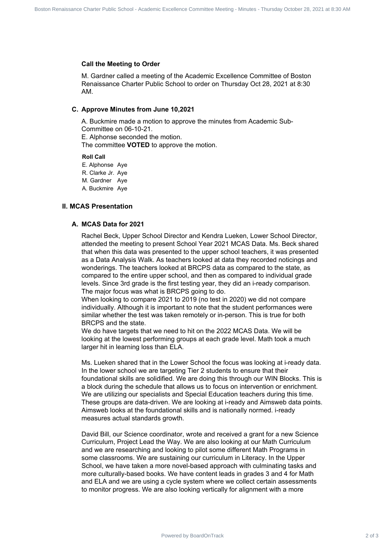#### **Call the Meeting to Order**

M. Gardner called a meeting of the Academic Excellence Committee of Boston Renaissance Charter Public School to order on Thursday Oct 28, 2021 at 8:30 AM.

#### **C. Approve Minutes from June 10,2021**

A. Buckmire made a motion to approve the minutes from Academic Sub-Committee on 06-10-21.

E. Alphonse seconded the motion.

The committee **VOTED** to approve the motion.

#### **Roll Call**

E. Alphonse Aye

R. Clarke Jr. Aye

M. Gardner Aye

A. Buckmire Aye

#### **II. MCAS Presentation**

#### **A. MCAS Data for 2021**

Rachel Beck, Upper School Director and Kendra Lueken, Lower School Director, attended the meeting to present School Year 2021 MCAS Data. Ms. Beck shared that when this data was presented to the upper school teachers, it was presented as a Data Analysis Walk. As teachers looked at data they recorded noticings and wonderings. The teachers looked at BRCPS data as compared to the state, as compared to the entire upper school, and then as compared to individual grade levels. Since 3rd grade is the first testing year, they did an i-ready comparison. The major focus was what is BRCPS going to do. Collect Power Higher Charter Public School - Commission Renaissance Commission Renaissance A School<br>
M. Commission Renaissance Charter Public School Doctober Charter Public School - Academic School<br>
M. Commission Renaissan

When looking to compare 2021 to 2019 (no test in 2020) we did not compare individually. Although it is important to note that the student performances were similar whether the test was taken remotely or in-person. This is true for both BRCPS and the state.

We do have targets that we need to hit on the 2022 MCAS Data. We will be looking at the lowest performing groups at each grade level. Math took a much larger hit in learning loss than ELA.

Ms. Lueken shared that in the Lower School the focus was looking at i-ready data. In the lower school we are targeting Tier 2 students to ensure that their foundational skills are solidified. We are doing this through our WIN Blocks. This is a block during the schedule that allows us to focus on intervention or enrichment. We are utilizing our specialists and Special Education teachers during this time. These groups are data-driven. We are looking at i-ready and Aimsweb data points. Aimsweb looks at the foundational skills and is nationally normed. i-ready measures actual standards growth.

David Bill, our Science coordinator, wrote and received a grant for a new Science Curriculum, Project Lead the Way. We are also looking at our Math Curriculum and we are researching and looking to pilot some different Math Programs in some classrooms. We are sustaining our curriculum in Literacy. In the Upper School, we have taken a more novel-based approach with culminating tasks and more culturally-based books. We have content leads in grades 3 and 4 for Math and ELA and we are using a cycle system where we collect certain assessments to monitor progress. We are also looking vertically for alignment with a more